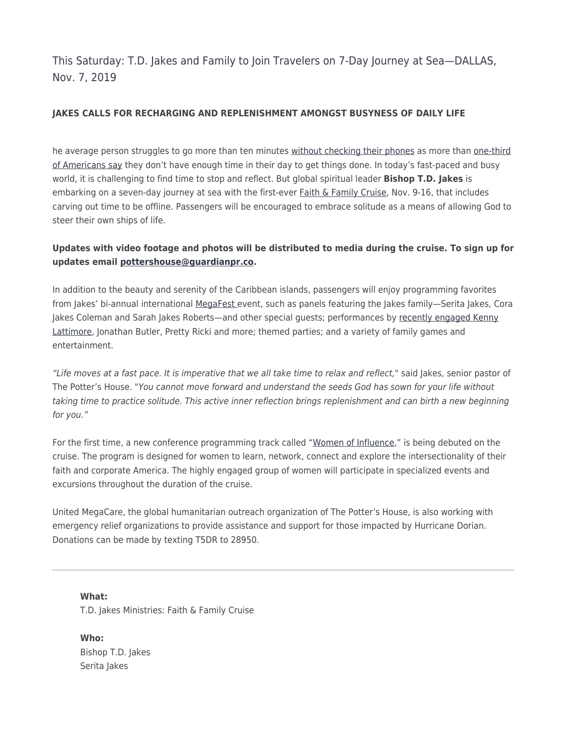This Saturday: T.D. Jakes and Family to Join Travelers on 7-Day Journey at Sea—DALLAS, Nov. 7, 2019

## **JAKES CALLS FOR RECHARGING AND REPLENISHMENT AMONGST BUSYNESS OF DAILY LIFE**

he average person struggles to go more than ten minutes [without checking their phone](https://u7061146.ct.sendgrid.net/wf/click?upn=G62jSYfZdO-2F12d8lSllQB738hDZWO6wmi-2BVjmc20ZcnuTIyzXDwCbHQCOCSk6u-2BZ5M86iE5lw692BalqZD9LQl604FvC-2FeyfxA0-2Fj4p3rRAO-2BP2OEDU6LvAZnHqcm-2BzF_MrZMmMYtUsDtXGN4GX90ue3QtiuybH3TgHBU1K-2FMsR5AMiTBJKG3Kbx-2FCRe5-2Boi9WUj8m38Qna3vSarlxTJOhKtlkw7ZrN9fFafQkN8RKQtvtHcK87N9azmO8gX75JtudX3Q6C0l9h3D5zDb5m4lhID-2FAoYcGkE2-2FBC4374oZji5J-2BkbxvzBeOUviv4f54rgOVurDaZI7t1tMFTNsohVePRAMrT8VYOwDZcywzgbXlIXEk427mKUEpMvsuKVcxWPf7YfFTtAMYZYGuyErCib-2Ft0XaDyTGSvfr0ThWJhOY8g8jP5Psqh8WO9lyuCinM4F9sIXET9ptgrl8b2Dk-2BseOltvf4kN-2FeGV6bwOYcxEugo-3D)[s](https://u7061146.ct.sendgrid.net/wf/click?upn=Q8nvYaSvyDIRiPEhgsdp8PREhGA3CbNEtucP6wXfePPPpMIZpLjVFNVBOtJQPoDnujYV54ldYAmQ79p58ILoy2au7NZKPGNNxShnZ9Ah1ePMXUOiRjHU3Z8IEdqY9FL5_MrZMmMYtUsDtXGN4GX90ue3QtiuybH3TgHBU1K-2FMsR5AMiTBJKG3Kbx-2FCRe5-2Boi9WUj8m38Qna3vSarlxTJOhKtlkw7ZrN9fFafQkN8RKQtvtHcK87N9azmO8gX75JtudX3Q6C0l9h3D5zDb5m4lhID-2FAoYcGkE2-2FBC4374oZji5J-2BkbxvzBeOUviv4f54rgOVurDaZI7t1tMFTNsohVeONNDJazI4c18M6ztW6ZILQCISiW3KA-2FlQWuqQR0QPegfGK2LcN8s-2Bfo56vp13pIVGth4u2Wc9biKkHU4sNlI5nweEopfl99aw-2FxZGwv4O56SEla0LuShgH5KR74Ve5HwhMl9z6Dzq2nRw8HNpjeRLg-3D) as more than [one-third](https://u7061146.ct.sendgrid.net/wf/click?upn=G62jSYfZdO-2F12d8lSllQB7-2FfNA5ybbus3d-2BYXhcEJq3alP-2BGRUrFaw740RyeD1y-2B9PrlXbos9uFZJk0O3K4JxSffB4aAcmZ94KOr-2FuYl5LDxSwvEMbw2DY1A7vcFbVWkv7khppYE9TugfM19hFczBOv6fIQQP8z3vAAL9jKpgv-2Bs-2BkFAMNCNof2W0hK07sJj-2BBMwgQMPDpRKOa9bh8xYDGv4BYMPztUabcmIRMwYU74-3D_MrZMmMYtUsDtXGN4GX90ue3QtiuybH3TgHBU1K-2FMsR5AMiTBJKG3Kbx-2FCRe5-2Boi9WUj8m38Qna3vSarlxTJOhKtlkw7ZrN9fFafQkN8RKQtvtHcK87N9azmO8gX75JtudX3Q6C0l9h3D5zDb5m4lhID-2FAoYcGkE2-2FBC4374oZji5J-2BkbxvzBeOUviv4f54rgOVurDaZI7t1tMFTNsohVeNqndjpATwaz9i6YPGj8zKanHeQcq8I3Nd-2F30Bwlx5N65s6CsECcFEEYcSQ7bdcNoDyfQf8Me-2BvJelo8JeyD0faD6fBfljR6ZTqRh6dBECAYLqKh0mLusZvuGzsJz-2FUh9y84tkG00Mt2ZPtN3TIZEOA-3D) [of Americans say](https://u7061146.ct.sendgrid.net/wf/click?upn=G62jSYfZdO-2F12d8lSllQB7-2FfNA5ybbus3d-2BYXhcEJq3alP-2BGRUrFaw740RyeD1y-2B9PrlXbos9uFZJk0O3K4JxSffB4aAcmZ94KOr-2FuYl5LDxSwvEMbw2DY1A7vcFbVWkv7khppYE9TugfM19hFczBOv6fIQQP8z3vAAL9jKpgv-2Bs-2BkFAMNCNof2W0hK07sJj-2BBMwgQMPDpRKOa9bh8xYDGv4BYMPztUabcmIRMwYU74-3D_MrZMmMYtUsDtXGN4GX90ue3QtiuybH3TgHBU1K-2FMsR5AMiTBJKG3Kbx-2FCRe5-2Boi9WUj8m38Qna3vSarlxTJOhKtlkw7ZrN9fFafQkN8RKQtvtHcK87N9azmO8gX75JtudX3Q6C0l9h3D5zDb5m4lhID-2FAoYcGkE2-2FBC4374oZji5J-2BkbxvzBeOUviv4f54rgOVurDaZI7t1tMFTNsohVeNqndjpATwaz9i6YPGj8zKanHeQcq8I3Nd-2F30Bwlx5N65s6CsECcFEEYcSQ7bdcNoDyfQf8Me-2BvJelo8JeyD0faD6fBfljR6ZTqRh6dBECAYLqKh0mLusZvuGzsJz-2FUh9y84tkG00Mt2ZPtN3TIZEOA-3D) they don't have enough time in their day to get things done. In today's fast-paced and busy world, it is challenging to find time to stop and reflect. But global spiritual leader **Bishop T.D. Jakes** is embarking on a seven-day journey at sea with the first-ever [Faith & Family Cruise](https://u7061146.ct.sendgrid.net/wf/click?upn=84Em28S1K9SvtzcUtu04EqK-2FMAuRcW7QvoVcJUOiSKAMXPjdehhnRzRo9CmTkXrBGnhs5MGbRfh2QgifVWR2Cg-3D-3D_MrZMmMYtUsDtXGN4GX90ue3QtiuybH3TgHBU1K-2FMsR5AMiTBJKG3Kbx-2FCRe5-2Boi9WUj8m38Qna3vSarlxTJOhKtlkw7ZrN9fFafQkN8RKQtvtHcK87N9azmO8gX75JtudX3Q6C0l9h3D5zDb5m4lhID-2FAoYcGkE2-2FBC4374oZji5J-2BkbxvzBeOUviv4f54rgOVurDaZI7t1tMFTNsohVeMx2LDhQEURC8ChNAsjLRJ6U-2FzULiNZs26IYqo1UMbfEx-2B-2Fk7zLy5te7LTkbHJcjMuKvVEcDzLmpOXGzvV7FwLsOmPJPGezigIas2ajNaOSxip5cmDPQrjg2vQRHi-2B78FYvv-2B8bcalD8fwFDaMgQP2A-3D), Nov. 9-16, that includes carving out time to be offline. Passengers will be encouraged to embrace solitude as a means of allowing God to steer their own ships of life.

# **Updates with video footage and photos will be distributed to media during the cruise. To sign up for updates email [pottershouse@guardianpr.co.](mailto:pottershouse@guardianpr.co)**

In addition to the beauty and serenity of the Caribbean islands, passengers will enjoy programming favorites from Jakes' bi-annual international [MegaFest](https://u7061146.ct.sendgrid.net/wf/click?upn=G62jSYfZdO-2F12d8lSllQBx9q-2F-2BuCiiOqXLqHZSGNChR4Apste0cNKEUvln1BZr8ip5cIISuPQFaFpOVtrTj3s5XhS7zGeFerObzeEJvqben-2BER-2Fz8p2F-2B464RXOypYAYsK-2FtI8KELIUJSBlzHXOeRH79pwwIFZgNElsn4-2FPet8I-3D_MrZMmMYtUsDtXGN4GX90ue3QtiuybH3TgHBU1K-2FMsR5AMiTBJKG3Kbx-2FCRe5-2Boi9WUj8m38Qna3vSarlxTJOhKtlkw7ZrN9fFafQkN8RKQtvtHcK87N9azmO8gX75JtudX3Q6C0l9h3D5zDb5m4lhID-2FAoYcGkE2-2FBC4374oZji5J-2BkbxvzBeOUviv4f54rgOVurDaZI7t1tMFTNsohVeA7fJh0FQ-2FsSNXXrThhBapNcIGG20iC-2BY38b7hRnajvazNxgqAAFOBpyK0uCBgPdnogQCuwRsiB2dmNFSDdkV-2BCVY69Nx-2FN3zw8kdPaDbissRNuqRLNZcb3uZk7h-2BP7-2B4S59EjwYBowSLHOANQlbr5c-3D) event, such as panels featuring the Jakes family—Serita Jakes, Cora Jakes Coleman and Sarah Jakes Roberts—and other special guests; performances by [recently engaged Kenny](https://u7061146.ct.sendgrid.net/wf/click?upn=G62jSYfZdO-2F12d8lSllQB-2FXXaxnLPIVGUQI-2FCN6EkFvjMUBOQ8wUVPpnZY2TftmohGfwK4kFIqWzEm91dmKNvQkkb337tupyWY0CA6LqWf7ymDhScQeheMt9MbbzLy2fsvk0e2qXqoiKaX55RIEcVQ-3D-3D_MrZMmMYtUsDtXGN4GX90ue3QtiuybH3TgHBU1K-2FMsR5AMiTBJKG3Kbx-2FCRe5-2Boi9WUj8m38Qna3vSarlxTJOhKtlkw7ZrN9fFafQkN8RKQtvtHcK87N9azmO8gX75JtudX3Q6C0l9h3D5zDb5m4lhID-2FAoYcGkE2-2FBC4374oZji5J-2BkbxvzBeOUviv4f54rgOVurDaZI7t1tMFTNsohVeOG-2F72zzefl-2BiJ8DSQasxiC-2BSWNnJpGFBamUOoDmaJsOyWP79X8mXWDCCa7cjZU9TkWdIh2I-2FQV2cIwTzqcHCXZWhR2uzA1kojw9Xc0ljldEVjp3gowVluNengPqJnLrgv2dfJk5SBof5d7QYAPIskA-3D) [Lattimore](https://u7061146.ct.sendgrid.net/wf/click?upn=G62jSYfZdO-2F12d8lSllQB-2FXXaxnLPIVGUQI-2FCN6EkFvjMUBOQ8wUVPpnZY2TftmohGfwK4kFIqWzEm91dmKNvQkkb337tupyWY0CA6LqWf7ymDhScQeheMt9MbbzLy2fsvk0e2qXqoiKaX55RIEcVQ-3D-3D_MrZMmMYtUsDtXGN4GX90ue3QtiuybH3TgHBU1K-2FMsR5AMiTBJKG3Kbx-2FCRe5-2Boi9WUj8m38Qna3vSarlxTJOhKtlkw7ZrN9fFafQkN8RKQtvtHcK87N9azmO8gX75JtudX3Q6C0l9h3D5zDb5m4lhID-2FAoYcGkE2-2FBC4374oZji5J-2BkbxvzBeOUviv4f54rgOVurDaZI7t1tMFTNsohVeOG-2F72zzefl-2BiJ8DSQasxiC-2BSWNnJpGFBamUOoDmaJsOyWP79X8mXWDCCa7cjZU9TkWdIh2I-2FQV2cIwTzqcHCXZWhR2uzA1kojw9Xc0ljldEVjp3gowVluNengPqJnLrgv2dfJk5SBof5d7QYAPIskA-3D), Jonathan Butler, Pretty Ricki and more; themed parties; and a variety of family games and entertainment.

"Life moves at a fast pace. It is imperative that we all take time to relax and reflect," said Jakes, senior pastor of The Potter's House. "You cannot move forward and understand the seeds God has sown for your life without taking time to practice solitude. This active inner reflection brings replenishment and can birth a new beginning for you."

For the first time, a new conference programming track called "[Women of Influence,](https://u7061146.ct.sendgrid.net/wf/click?upn=84Em28S1K9SvtzcUtu04EgsznShAMxr3OxUJ7EDVQcu1-2Bpf1yWrL3ERmqrXNkbQt_MrZMmMYtUsDtXGN4GX90ue3QtiuybH3TgHBU1K-2FMsR5AMiTBJKG3Kbx-2FCRe5-2Boi9WUj8m38Qna3vSarlxTJOhKtlkw7ZrN9fFafQkN8RKQtvtHcK87N9azmO8gX75JtudX3Q6C0l9h3D5zDb5m4lhID-2FAoYcGkE2-2FBC4374oZji5J-2BkbxvzBeOUviv4f54rgOVurDaZI7t1tMFTNsohVeEylFVxCiyDqGielozcQG4U3mFVTk2vTgOcVHu-2FiZFurMU56uqW-2B5-2F6MWV5EDjaxPtYAIxG8ADKTulOs1P2eSFIByM56sM2dretptxY8WyufydNuQGKE7uqqbzrIi6b6h24afZaNp2jPzibXr3XtaHQ-3D)" is being debuted on the cruise. The program is designed for women to learn, network, connect and explore the intersectionality of their faith and corporate America. The highly engaged group of women will participate in specialized events and excursions throughout the duration of the cruise.

United MegaCare, the global humanitarian outreach organization of The Potter's House, is also working with emergency relief organizations to provide assistance and support for those impacted by Hurricane Dorian. Donations can be made by texting T5DR to 28950.

**What:**  T.D. Jakes Ministries: Faith & Family Cruise

**Who:**  Bishop T.D. Jakes Serita Jakes